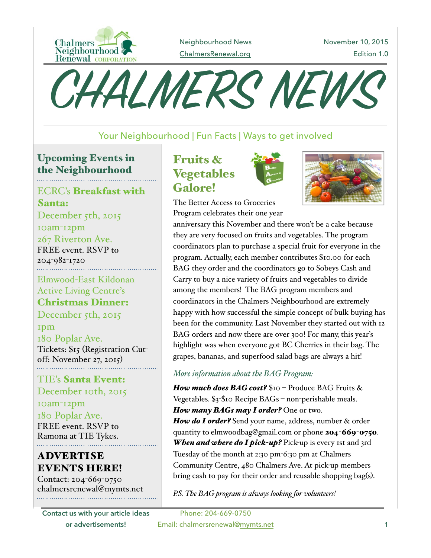

Neighbourhood News [ChalmersRenewal.org](http://ChalmersRenewal.org)

November 10, 2015 Edition 1.0



## Your Neighbourhood | Fun Facts | Ways to get involved

## Upcoming Events in the Neighbourhood

ECRC's Breakfast with Santa: December 5th, 2015 10am-12pm 267 Riverton Ave. FREE event. RSVP to 204-982-1720 Elmwood-East Kildonan

Active Living Centre's Christmas Dinner:

December 5th, 2015

1pm

180 Poplar Ave. Tickets: \$15 (Registration Cutoff: November 27, 2015)

TIE's Santa Event: December 10th, 2015

10am-12pm 180 Poplar Ave. FREE event. RSVP to Ramona at TIE Tykes.

# ADVERTISE EVENTS HERE!

Contact: 204-669-0750 chalmersrenewal@mymts.net

**Contact us with your article ideas or advertisements!**

# Fruits & Vegetables Galore!



The Better Access to Groceries Program celebrates their one year



anniversary this November and there won't be a cake because they are very focused on fruits and vegetables. The program coordinators plan to purchase a special fruit for everyone in the program. Actually, each member contributes \$10.00 for each BAG they order and the coordinators go to Sobeys Cash and Carry to buy a nice variety of fruits and vegetables to divide among the members! The BAG program members and coordinators in the Chalmers Neighbourhood are extremely happy with how successful the simple concept of bulk buying has been for the community. Last November they started out with 12 BAG orders and now there are over 300! For many, this year's highlight was when everyone got BC Cherries in their bag. The grapes, bananas, and superfood salad bags are always a hit!

#### *More information about the BAG Program:*

*How much does BAG cost?* \$10 – Produce BAG Fruits & Vegetables. \$3-\$10 Recipe BAGs – non-perishable meals. *How many BAGs may I order?* One or two. *How do I order?* Send your name, address, number & order quantity to elmwoodbag@gmail.com or phone 204-669-0750. *When and where do I pick-up?* Pick-up is every 1st and 3rd Tuesday of the month at 2:30 pm-6:30 pm at Chalmers Community Centre, 480 Chalmers Ave. At pick-up members bring cash to pay for their order and reusable shopping bag(s).

*P.S. The BAG program is always looking for volunteers!*

Phone: 204-669-0750 Email: chalmersrenewal[@mymts.net](http://mymts.net) 1